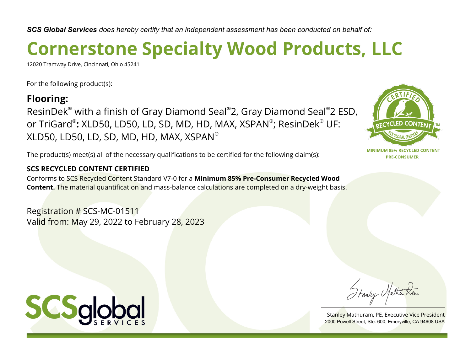# **Cornerstone Specialty Wood Products, LLC**

12020 Tramway Drive, Cincinnati, Ohio 45241

For the following product(s):

### **Flooring:**

ResinDek® with a finish of Gray Diamond Seal® 2, Gray Diamond Seal® 2 ESD, or TriGard®**:** XLD50, LD50, LD, SD, MD, HD, MAX, XSPAN®; ResinDek® UF: XLD50, LD50, LD, SD, MD, HD, MAX,  $XSPAN^{\circ}$ 

The product(s) meet(s) all of the necessary qualifications to be certified for the following claim(s):

#### **SCS RECYCLED CONTENT CERTIFIED**

Conforms to SCS Recycled Content Standard V7-0 for a **Minimum 85% Pre-Consumer Recycled Wood Content.** The material quantification and mass-balance calculations are completed on a dry-weight basis.

Registration # SCS-MC-01511 Valid from: May 29, 2022 to February 28, 2023



Stanley Mathuram, PE, Executive Vice President 2000 Powell Street, Ste. 600, Emeryville, CA 94608 USA

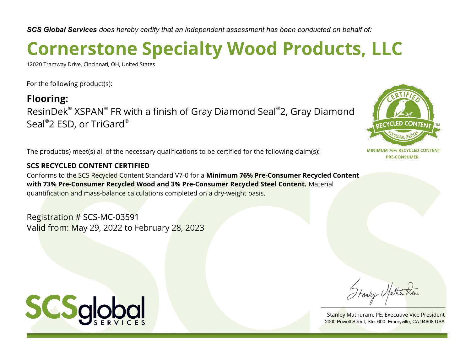# **Cornerstone Specialty Wood Products, LLC**

12020 Tramway Drive, Cincinnati, OH, United States

For the following product(s):

**Flooring:** ResinDek® XSPAN® FR with a finish of Gray Diamond Seal® 2, Gray Diamond Seal® 2 ESD, or TriGard®

The product(s) meet(s) all of the necessary qualifications to be certified for the following claim(s):

#### **SCS RECYCLED CONTENT CERTIFIED**

Conforms to the SCS Recycled Content Standard V7-0 for a **Minimum 76% Pre-Consumer Recycled Content with 73% Pre-Consumer Recycled Wood and 3% Pre-Consumer Recycled Steel Content.** Material quantification and mass-balance calculations completed on a dry-weight basis.

Registration # SCS-MC-03591 Valid from: May 29, 2022 to February 28, 2023



Stanley Matha

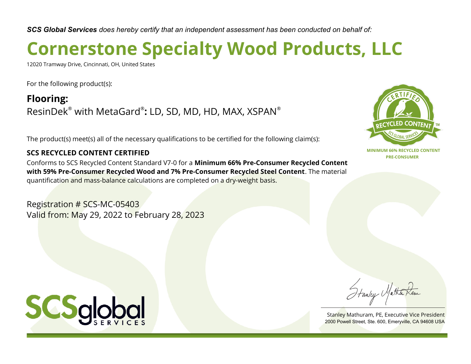## **Cornerstone Specialty Wood Products, LLC**

12020 Tramway Drive, Cincinnati, OH, United States

For the following product(s):

**Flooring:** ResinDek® with MetaGard® **:** LD, SD, MD, HD, MAX, XSPAN®

The product(s) meet(s) all of the necessary qualifications to be certified for the following claim(s):

#### **SCS RECYCLED CONTENT CERTIFIED**

Conforms to SCS Recycled Content Standard V7-0 for a **Minimum 66% Pre-Consumer Recycled Content with 59% Pre-Consumer Recycled Wood and 7% Pre-Consumer Recycled Steel Content**. The material quantification and mass-balance calculations are completed on a dry-weight basis.

Registration # SCS-MC-05403 Valid from: May 29, 2022 to February 28, 2023



Stanley Matha

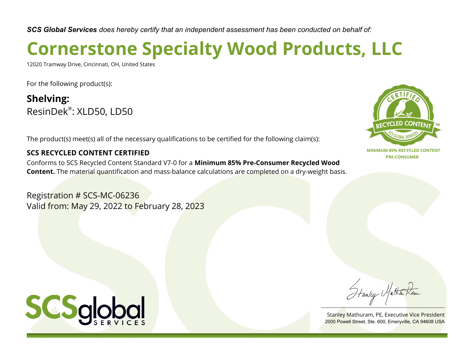## **Cornerstone Specialty Wood Products, LLC**

12020 Tramway Drive, Cincinnati, OH, United States

For the following product(s):

**Shelving:** ResinDek® : XLD50, LD50

The product(s) meet(s) all of the necessary qualifications to be certified for the following claim(s):

#### **SCS RECYCLED CONTENT CERTIFIED**

Conforms to SCS Recycled Content Standard V7-0 for a **Minimum 85% Pre-Consumer Recycled Wood Content.** The material quantification and mass-balance calculations are completed on a dry-weight basis.

Registration # SCS-MC-06236 Valid from: May 29, 2022 to February 28, 2023



Stanley Matha